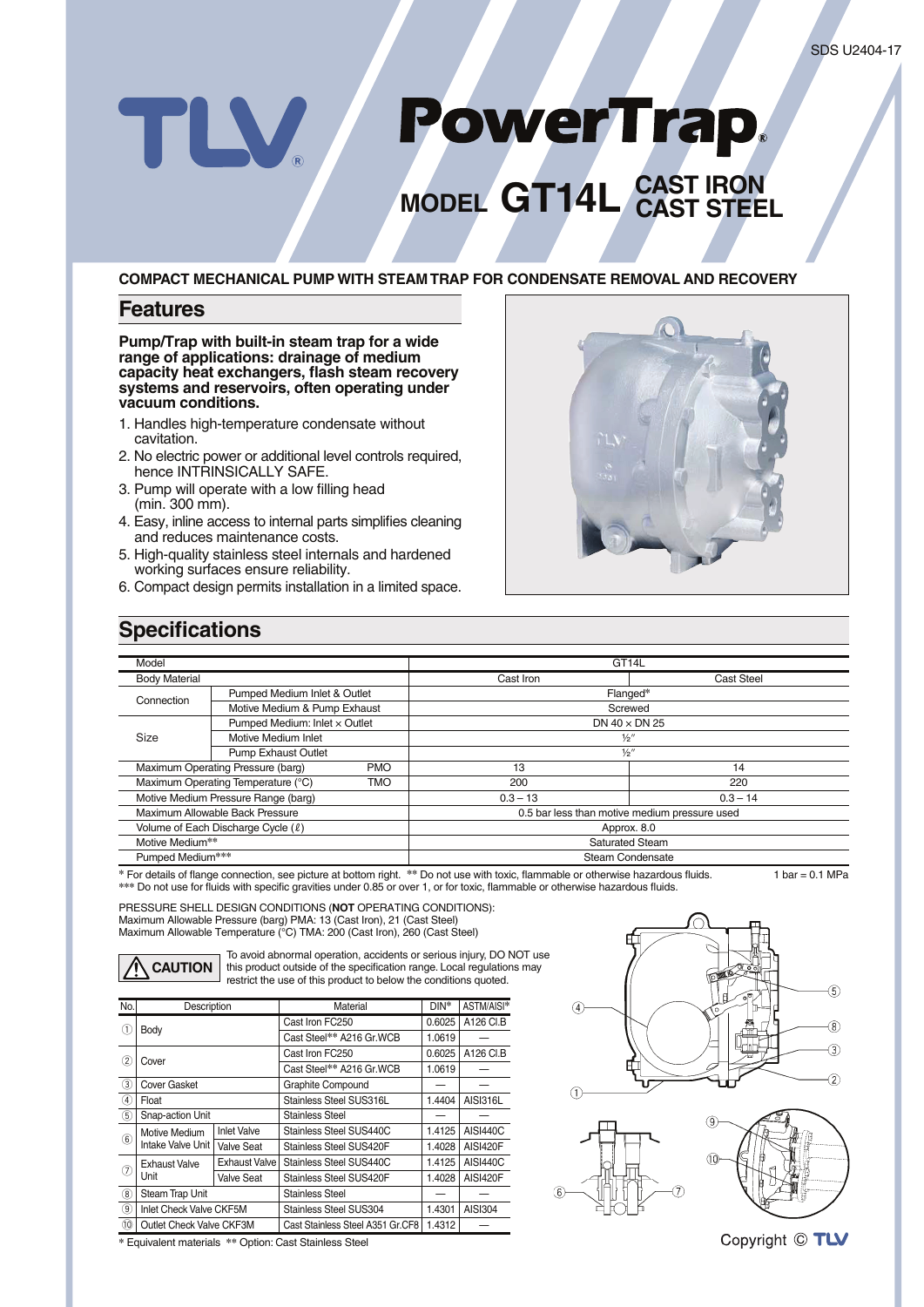# PowerTrap. TLV **MODEL GT14L CAST IRON CAST STEEL**

**COMPACT MECHANICAL PUMP WITH STEAM TRAP FOR CONDENSATE REMOVAL AND RECOVERY**

## **Features**

**Pump/Trap with built-in steam trap for a wide range of applications: drainage of medium capacity heat exchangers, fl ash steam recovery systems and reservoirs, often operating under vacuum conditions.**

- 1. Handles high-temperature condensate without cavitation.
- 2. No electric power or additional level controls required, hence INTRINSICALLY SAFE.
- 3. Pump will operate with a low filling head (min. 300 mm).
- 4. Easy, inline access to internal parts simplifies cleaning and reduces maintenance costs.
- 5. High-quality stainless steel internals and hardened working surfaces ensure reliability.
- 6. Compact design permits installation in a limited space.



## **Specifications**

| Model                                     |                                                  |                                               | GT <sub>14</sub> L       |                   |  |  |
|-------------------------------------------|--------------------------------------------------|-----------------------------------------------|--------------------------|-------------------|--|--|
| <b>Body Material</b>                      |                                                  |                                               | Cast Iron                | <b>Cast Steel</b> |  |  |
| Connection                                | Pumped Medium Inlet & Outlet                     |                                               | Flanged*                 |                   |  |  |
|                                           | Motive Medium & Pump Exhaust                     |                                               | Screwed                  |                   |  |  |
| Size                                      | Pumped Medium: Inlet x Outlet                    |                                               | DN $40 \times$ DN 25     |                   |  |  |
|                                           | Motive Medium Inlet                              |                                               | $\frac{1}{2}$            |                   |  |  |
|                                           | <b>Pump Exhaust Outlet</b>                       |                                               | $\frac{1}{2}$ "          |                   |  |  |
|                                           | Maximum Operating Pressure (barg)                | <b>PMO</b>                                    | 13                       | 14                |  |  |
|                                           | Maximum Operating Temperature (°C)<br><b>TMO</b> |                                               | 200                      | 220               |  |  |
|                                           | Motive Medium Pressure Range (barg)              |                                               | $0.3 - 13$<br>$0.3 - 14$ |                   |  |  |
| Maximum Allowable Back Pressure           |                                                  | 0.5 bar less than motive medium pressure used |                          |                   |  |  |
| Volume of Each Discharge Cycle (l)        |                                                  | Approx. 8.0                                   |                          |                   |  |  |
| Motive Medium**<br><b>Saturated Steam</b> |                                                  |                                               |                          |                   |  |  |
| Pumped Medium***                          |                                                  |                                               | Steam Condensate         |                   |  |  |

\* For details of flange connection, see picture at bottom right. \*\* Do not use with toxic, flammable or otherwise hazardous fluids. 1 bar = 0.1 MPa \*\*\* Do not use for fluids with specific gravities under 0.85 or over 1, or for toxic, flammable or otherwise hazardous fluids.

PRESSURE SHELL DESIGN CONDITIONS (**NOT** OPERATING CONDITIONS): Maximum Allowable Pressure (barg) PMA: 13 (Cast Iron), 21 (Cast Steel) Maximum Allowable Temperature (°C) TMA: 200 (Cast Iron), 260 (Cast Steel)



To avoid abnormal operation, accidents or serious injury, DO NOT use this product outside of the specification range. Local regulations may restrict the use of this product to below the conditions quoted.

| No.                         | Description                        |                    | Material                         | $DIN^*$ | ASTM/AISI*      |
|-----------------------------|------------------------------------|--------------------|----------------------------------|---------|-----------------|
| (1)                         | Body                               |                    | Cast Iron FC250                  | 0.6025  | A126 CI.B       |
|                             |                                    |                    | Cast Steel** A216 Gr.WCB         | 1.0619  |                 |
| 2                           | Cover                              |                    | Cast Iron FC250                  | 0.6025  | A126 CI.B       |
|                             |                                    |                    | Cast Steel** A216 Gr.WCB         | 1.0619  |                 |
| (3)                         | <b>Cover Gasket</b>                |                    | Graphite Compound                |         |                 |
| $\left(\overline{4}\right)$ | Float                              |                    | Stainless Steel SUS316L          | 1.4404  | <b>AISI316L</b> |
| (5)                         | Snap-action Unit                   |                    | <b>Stainless Steel</b>           |         |                 |
| $\circled{6}$               | Motive Medium<br>Intake Valve Unit | <b>Inlet Valve</b> | Stainless Steel SUS440C          | 1.4125  | <b>AISI440C</b> |
|                             |                                    | Valve Seat         | Stainless Steel SUS420F          | 1.4028  | AISI420F        |
| ⑦                           | <b>Exhaust Valve</b><br>Unit       | Exhaust Valve      | Stainless Steel SUS440C          | 1.4125  | AISI440C        |
|                             |                                    | Valve Seat         | Stainless Steel SUS420F          | 1.4028  | AISI420F        |
| (8)                         | Steam Trap Unit                    |                    | <b>Stainless Steel</b>           |         |                 |
| $\circledcirc$              | Inlet Check Valve CKF5M            |                    | Stainless Steel SUS304           | 1.4301  | AISI304         |
| (10)                        | Outlet Check Valve CKF3M           |                    | Cast Stainless Steel A351 Gr.CF8 | 1.4312  |                 |







**\*** Equivalent materials **\*\*** Option: Cast Stainless Steel

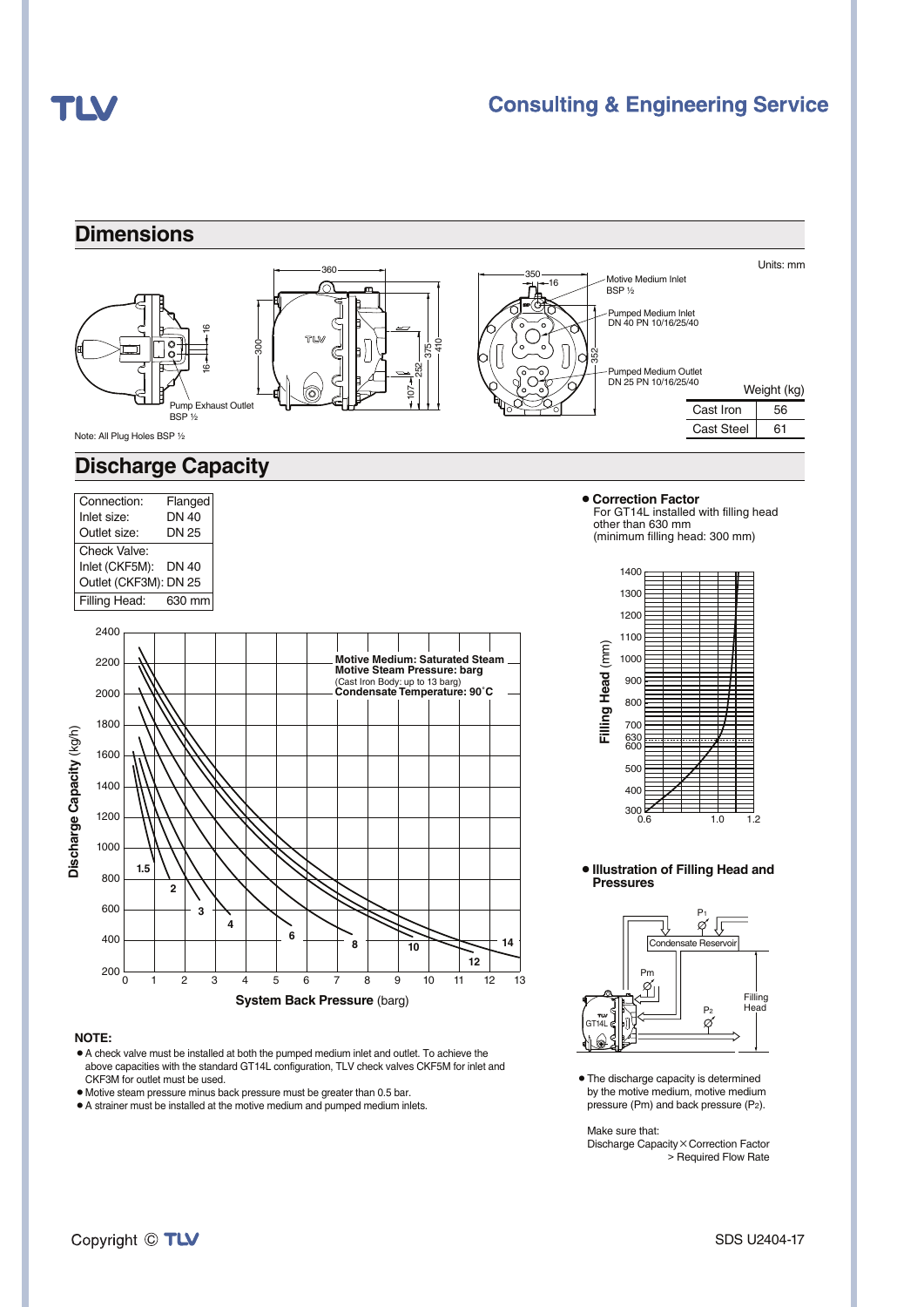# TLV

## **Consulting & Engineering Service**



#### **NOTE:**

- ¡A check valve must be installed at both the pumped medium inlet and outlet. To achieve the above capacities with the standard GT14L configuration, TLV check valves CKF5M for inlet and CKF3M for outlet must be used.
- ¡Motive steam pressure minus back pressure must be greater than 0.5 bar.
- $\bullet$  A strainer must be installed at the motive medium and pumped medium inlets.

• The discharge capacity is determined by the motive medium, motive medium pressure (Pm) and back pressure (P2).

#### Make sure that:

Discharge Capacity × Correction Factor > Required Flow Rate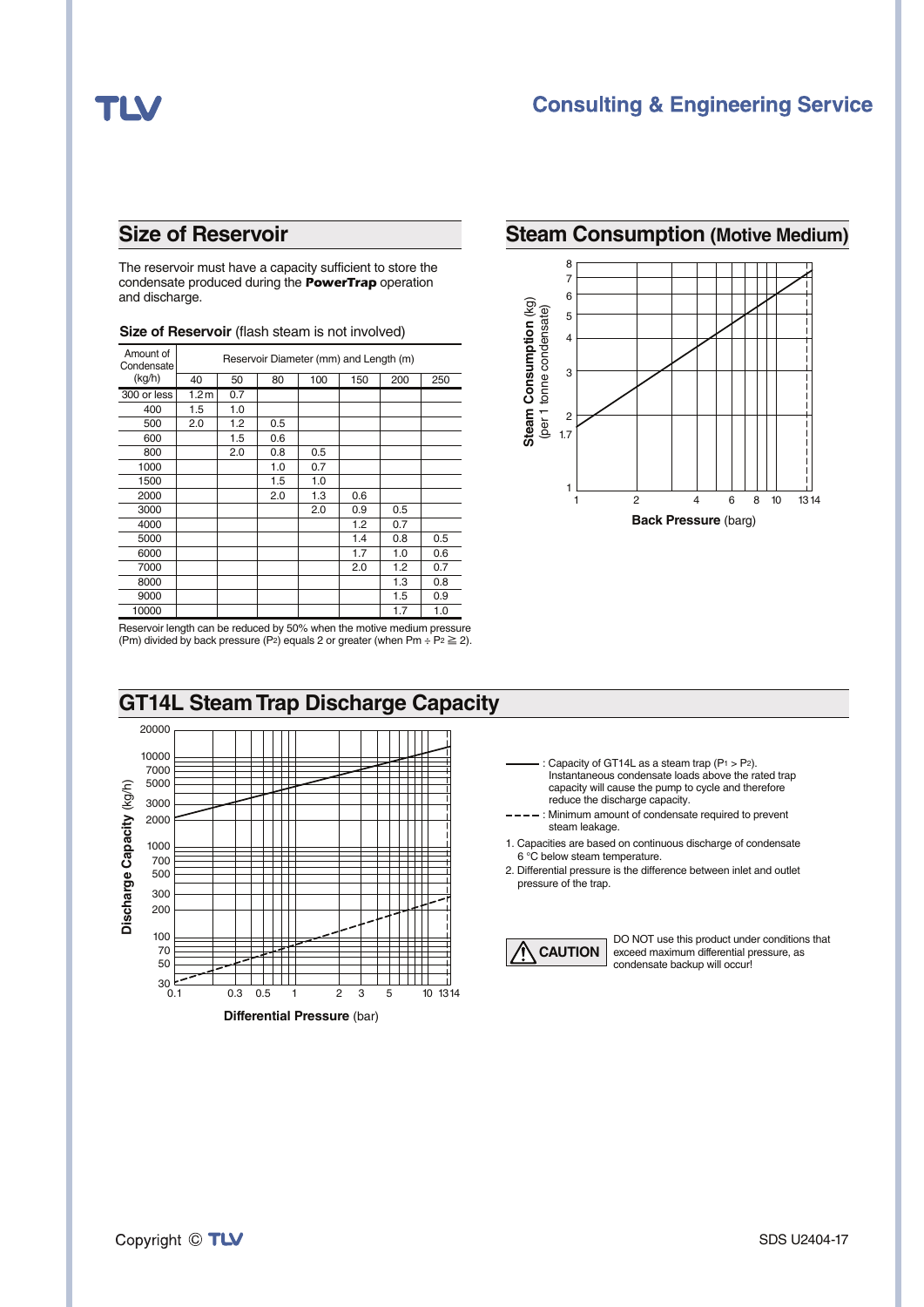# TLV

## **Consulting & Engineering Service**

The reservoir must have a capacity sufficient to store the condensate produced during the *PowerTrap* operation and discharge.

| Amount of<br>Condensate | Reservoir Diameter (mm) and Length (m) |     |     |     |     |     |     |  |
|-------------------------|----------------------------------------|-----|-----|-----|-----|-----|-----|--|
| (kg/h)                  | 40                                     | 50  | 80  | 100 | 150 | 200 | 250 |  |
| 300 or less             | 1.2 <sub>m</sub>                       | 0.7 |     |     |     |     |     |  |
| 400                     | 1.5                                    | 1.0 |     |     |     |     |     |  |
| 500                     | 2.0                                    | 1.2 | 0.5 |     |     |     |     |  |
| 600                     |                                        | 1.5 | 0.6 |     |     |     |     |  |
| 800                     |                                        | 2.0 | 0.8 | 0.5 |     |     |     |  |
| 1000                    |                                        |     | 1.0 | 0.7 |     |     |     |  |
| 1500                    |                                        |     | 1.5 | 1.0 |     |     |     |  |
| 2000                    |                                        |     | 2.0 | 1.3 | 0.6 |     |     |  |
| 3000                    |                                        |     |     | 2.0 | 0.9 | 0.5 |     |  |
| 4000                    |                                        |     |     |     | 1.2 | 0.7 |     |  |
| 5000                    |                                        |     |     |     | 1.4 | 0.8 | 0.5 |  |
| 6000                    |                                        |     |     |     | 1.7 | 1.0 | 0.6 |  |
| 7000                    |                                        |     |     |     | 2.0 | 1.2 | 0.7 |  |
| 8000                    |                                        |     |     |     |     | 1.3 | 0.8 |  |
| 9000                    |                                        |     |     |     |     | 1.5 | 0.9 |  |
| 10000                   |                                        |     |     |     |     | 1.7 | 1.0 |  |

### **Size of Reservoir** (flash steam is not involved)

## **Size of Reservoir Steam Consumption (Motive Medium)**



Reservoir length can be reduced by 50% when the motive medium pressure (Pm) divided by back pressure (P<sub>2</sub>) equals 2 or greater (when Pm ÷ P<sub>2</sub>  $\geq$  2).



- Capacity of GT14L as a steam trap  $(P_1 > P_2)$ . Instantaneous condensate loads above the rated trap capacity will cause the pump to cycle and therefore
	- reduce the discharge capacity. : Minimum amount of condensate required to prevent steam leakage.
- 1. Capacities are based on continuous discharge of condensate 6 °C below steam temperature.
- 2. Differential pressure is the difference between inlet and outlet pressure of the trap.



DO NOT use this product under conditions that exceed maximum differential pressure, as condensate backup will occur!